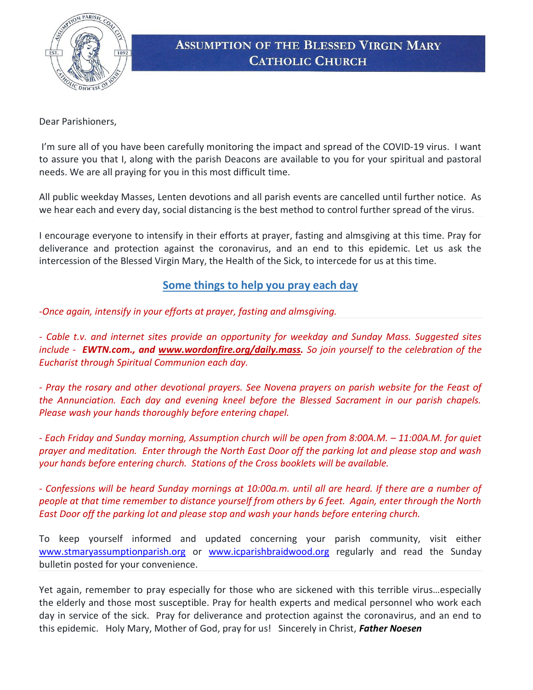

## **ASSUMPTION OF THE BLESSED VIRGIN MARY CATHOLIC CHURCH**

Dear Parishioners,

 I'm sure all of you have been carefully monitoring the impact and spread of the COVID-19 virus. I want to assure you that I, along with the parish Deacons are available to you for your spiritual and pastoral needs. We are all praying for you in this most difficult time.

All public weekday Masses, Lenten devotions and all parish events are cancelled until further notice. As we hear each and every day, social distancing is the best method to control further spread of the virus.

I encourage everyone to intensify in their efforts at prayer, fasting and almsgiving at this time. Pray for deliverance and protection against the coronavirus, and an end to this epidemic. Let us ask the intercession of the Blessed Virgin Mary, the Health of the Sick, to intercede for us at this time.

## Some things to help you pray each day

-Once again, intensify in your efforts at prayer, fasting and almsgiving.

- Cable t.v. and internet sites provide an opportunity for weekday and Sunday Mass. Suggested sites include - **EWTN.com., and www.wordonfire.org/daily.mass.** So join yourself to the celebration of the Eucharist through Spiritual Communion each day.

- Pray the rosary and other devotional prayers. See Novena prayers on parish website for the Feast of the Annunciation. Each day and evening kneel before the Blessed Sacrament in our parish chapels. Please wash your hands thoroughly before entering chapel.

- Each Friday and Sunday morning, Assumption church will be open from 8:00A.M. – 11:00A.M. for quiet prayer and meditation. Enter through the North East Door off the parking lot and please stop and wash your hands before entering church. Stations of the Cross booklets will be available.

- Confessions will be heard Sunday mornings at 10:00a.m. until all are heard. If there are a number of people at that time remember to distance yourself from others by 6 feet. Again, enter through the North East Door off the parking lot and please stop and wash your hands before entering church.

To keep yourself informed and updated concerning your parish community, visit either www.stmaryassumptionparish.org or www.icparishbraidwood.org regularly and read the Sunday bulletin posted for your convenience.

Yet again, remember to pray especially for those who are sickened with this terrible virus…especially the elderly and those most susceptible. Pray for health experts and medical personnel who work each day in service of the sick. Pray for deliverance and protection against the coronavirus, and an end to this epidemic. Holy Mary, Mother of God, pray for us! Sincerely in Christ, Father Noesen